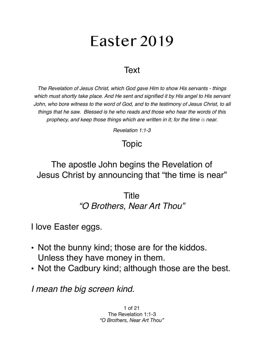# Easter 2019

### **Text**

*The Revelation of Jesus Christ, which God gave Him to show His servants - things which must shortly take place. And He sent and signified it by His angel to His servant John, who bore witness to the word of God, and to the testimony of Jesus Christ, to all things that he saw. Blessed is he who reads and those who hear the words of this prophecy, and keep those things which are written in it; for the time is near.* 

*Revelation 1:1-3*

## Topic

## The apostle John begins the Revelation of Jesus Christ by announcing that "the time is near"

### Title *"O Brothers, Near Art Thou"*

I love Easter eggs.

- Not the bunny kind; those are for the kiddos. Unless they have money in them.
- Not the Cadbury kind; although those are the best.

*I mean the big screen kind.* 

1 of 21 The Revelation 1:1-3 *"O Brothers, Near Art Thou"*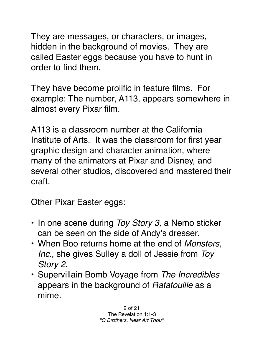They are messages, or characters, or images, hidden in the background of movies. They are called Easter eggs because you have to hunt in order to find them.

They have become prolific in feature films. For example: The number, A113, appears somewhere in almost every Pixar film.

A113 is a classroom number at the California Institute of Arts. It was the classroom for first year graphic design and character animation, where many of the animators at Pixar and Disney, and several other studios, discovered and mastered their craft.

Other Pixar Easter eggs:

- In one scene during *Toy Story 3,* a Nemo sticker can be seen on the side of Andy's dresser.
- When Boo returns home at the end of *Monsters, Inc.,* she gives Sulley a doll of Jessie from *Toy Story 2.*
- Supervillain Bomb Voyage from *The Incredibles* appears in the background of *Ratatouille* as a mime.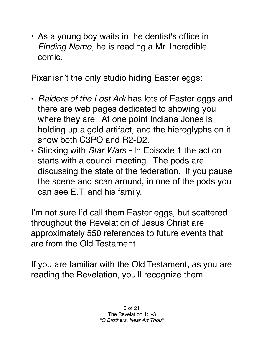• As a young boy waits in the dentist's office in *Finding Nemo,* he is reading a Mr. Incredible comic.

Pixar isn't the only studio hiding Easter eggs:

- *Raiders of the Lost Ark* has lots of Easter eggs and there are web pages dedicated to showing you where they are. At one point Indiana Jones is holding up a gold artifact, and the hieroglyphs on it show both C3PO and R2-D2.
- Sticking with *Star Wars* In Episode 1 the action starts with a council meeting. The pods are discussing the state of the federation. If you pause the scene and scan around, in one of the pods you can see E.T. and his family.

I'm not sure I'd call them Easter eggs, but scattered throughout the Revelation of Jesus Christ are approximately 550 references to future events that are from the Old Testament.

If you are familiar with the Old Testament, as you are reading the Revelation, you'll recognize them.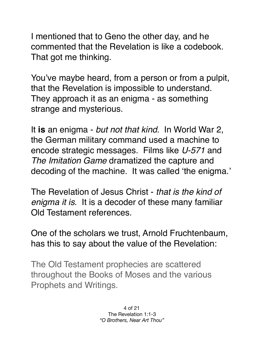I mentioned that to Geno the other day, and he commented that the Revelation is like a codebook. That got me thinking.

You've maybe heard, from a person or from a pulpit, that the Revelation is impossible to understand. They approach it as an enigma - as something strange and mysterious.

It **is** an enigma - *but not that kind*. In World War 2, the German military command used a machine to encode strategic messages. Films like *U-571* and *The Imitation Game* dramatized the capture and decoding of the machine. It was called 'the enigma.'

The Revelation of Jesus Christ - *that is the kind of enigma it is.* It is a decoder of these many familiar Old Testament references.

One of the scholars we trust, Arnold Fruchtenbaum, has this to say about the value of the Revelation:

The Old Testament prophecies are scattered throughout the Books of Moses and the various Prophets and Writings.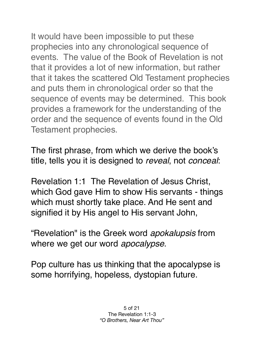It would have been impossible to put these prophecies into any chronological sequence of events. The value of the Book of Revelation is not that it provides a lot of new information, but rather that it takes the scattered Old Testament prophecies and puts them in chronological order so that the sequence of events may be determined. This book provides a framework for the understanding of the order and the sequence of events found in the Old Testament prophecies.

The first phrase, from which we derive the book's title, tells you it is designed to *reveal*, not *conceal*:

Revelation 1:1 The Revelation of Jesus Christ, which God gave Him to show His servants - things which must shortly take place. And He sent and signified it by His angel to His servant John,

"Revelation" is the Greek word *apokalupsis* from where we get our word *apocalypse*.

Pop culture has us thinking that the apocalypse is some horrifying, hopeless, dystopian future.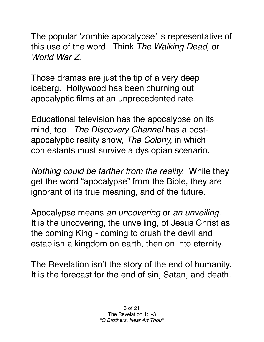The popular 'zombie apocalypse' is representative of this use of the word. Think *The Walking Dead,* or *World War Z.*

Those dramas are just the tip of a very deep iceberg. Hollywood has been churning out apocalyptic films at an unprecedented rate.

Educational television has the apocalypse on its mind, too. *The Discovery Channel* has a postapocalyptic reality show, *The Colony,* in which contestants must survive a dystopian scenario.

*Nothing could be farther from the reality.* While they get the word "apocalypse" from the Bible, they are ignorant of its true meaning, and of the future.

Apocalypse means *an uncovering* or *an unveiling.*  It is the uncovering, the unveiling, of Jesus Christ as the coming King - coming to crush the devil and establish a kingdom on earth, then on into eternity.

The Revelation isn't the story of the end of humanity. It is the forecast for the end of sin, Satan, and death.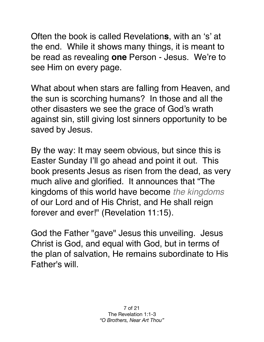Often the book is called Revelation**s**, with an 's' at the end. While it shows many things, it is meant to be read as revealing **one** Person - Jesus. We're to see Him on every page.

What about when stars are falling from Heaven, and the sun is scorching humans? In those and all the other disasters we see the grace of God's wrath against sin, still giving lost sinners opportunity to be saved by Jesus.

By the way: It may seem obvious, but since this is Easter Sunday I'll go ahead and point it out. This book presents Jesus as risen from the dead, as very much alive and glorified. It announces that "The kingdoms of this world have become *the kingdoms* of our Lord and of His Christ, and He shall reign forever and ever!" (Revelation 11:15).

God the Father "gave" Jesus this unveiling. Jesus Christ is God, and equal with God, but in terms of the plan of salvation, He remains subordinate to His Father's will.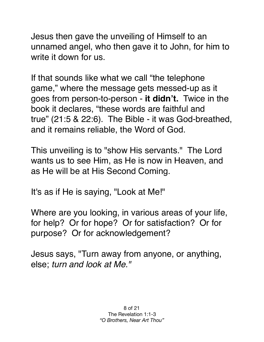Jesus then gave the unveiling of Himself to an unnamed angel, who then gave it to John, for him to write it down for us.

If that sounds like what we call "the telephone game," where the message gets messed-up as it goes from person-to-person - **it didn't.** Twice in the book it declares, "these words are faithful and true" (21:5 & 22:6). The Bible - it was God-breathed, and it remains reliable, the Word of God.

This unveiling is to "show His servants." The Lord wants us to see Him, as He is now in Heaven, and as He will be at His Second Coming.

It's as if He is saying, "Look at Me!"

Where are you looking, in various areas of your life, for help? Or for hope? Or for satisfaction? Or for purpose? Or for acknowledgement?

Jesus says, "Turn away from anyone, or anything, else; *turn and look at Me."*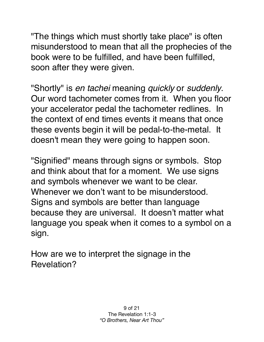"The things which must shortly take place" is often misunderstood to mean that all the prophecies of the book were to be fulfilled, and have been fulfilled, soon after they were given.

"Shortly" is *en tachei* meaning *quickly* or *suddenly*. Our word tachometer comes from it. When you floor your accelerator pedal the tachometer redlines. In the context of end times events it means that once these events begin it will be pedal-to-the-metal. It doesn't mean they were going to happen soon.

"Signified" means through signs or symbols. Stop and think about that for a moment. We use signs and symbols whenever we want to be clear. Whenever we don't want to be misunderstood. Signs and symbols are better than language because they are universal. It doesn't matter what language you speak when it comes to a symbol on a sign.

How are we to interpret the signage in the Revelation?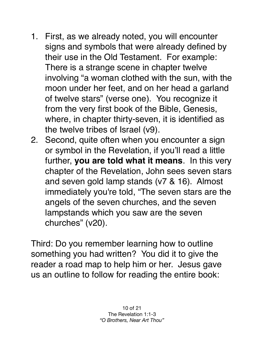- 1. First, as we already noted, you will encounter signs and symbols that were already defined by their use in the Old Testament. For example: There is a strange scene in chapter twelve involving "a woman clothed with the sun, with the moon under her feet, and on her head a garland of twelve stars" (verse one). You recognize it from the very first book of the Bible, Genesis, where, in chapter thirty-seven, it is identified as the twelve tribes of Israel (v9).
- 2. Second, quite often when you encounter a sign or symbol in the Revelation, if you'll read a little further, **you are told what it means**. In this very chapter of the Revelation, John sees seven stars and seven gold lamp stands (v7 & 16). Almost immediately you're told, "The seven stars are the angels of the seven churches, and the seven lampstands which you saw are the seven churches" (v20).

Third: Do you remember learning how to outline something you had written? You did it to give the reader a road map to help him or her. Jesus gave us an outline to follow for reading the entire book: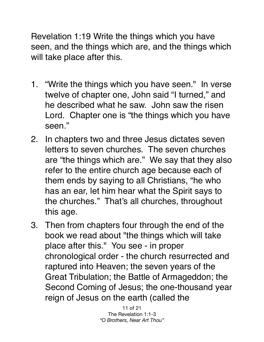Revelation 1:19 Write the things which you have seen, and the things which are, and the things which will take place after this.

- 1. "Write the things which you have seen." In verse twelve of chapter one, John said "I turned," and he described what he saw. John saw the risen Lord. Chapter one is "the things which you have seen."
- 2. In chapters two and three Jesus dictates seven letters to seven churches. The seven churches are "the things which are." We say that they also refer to the entire church age because each of them ends by saying to all Christians, "he who has an ear, let him hear what the Spirit says to the churches." That's all churches, throughout this age.
- 3. Then from chapters four through the end of the book we read about "the things which will take place after this." You see - in proper chronological order - the church resurrected and raptured into Heaven; the seven years of the Great Tribulation; the Battle of Armageddon; the Second Coming of Jesus; the one-thousand year reign of Jesus on the earth (called the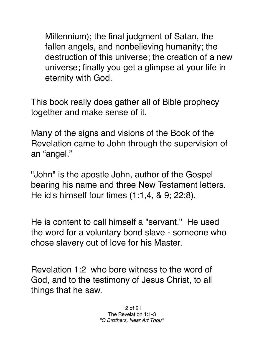Millennium); the final judgment of Satan, the fallen angels, and nonbelieving humanity; the destruction of this universe; the creation of a new universe; finally you get a glimpse at your life in eternity with God.

This book really does gather all of Bible prophecy together and make sense of it.

Many of the signs and visions of the Book of the Revelation came to John through the supervision of an "angel."

"John" is the apostle John, author of the Gospel bearing his name and three New Testament letters. He id's himself four times (1:1,4, & 9; 22:8).

He is content to call himself a "servant." He used the word for a voluntary bond slave - someone who chose slavery out of love for his Master.

Revelation 1:2 who bore witness to the word of God, and to the testimony of Jesus Christ, to all things that he saw.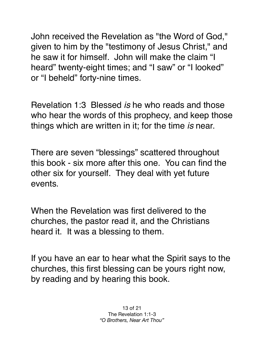John received the Revelation as "the Word of God," given to him by the "testimony of Jesus Christ," and he saw it for himself. John will make the claim "I heard" twenty-eight times; and "I saw" or "I looked" or "I beheld" forty-nine times.

Revelation 1:3 Blessed *is* he who reads and those who hear the words of this prophecy, and keep those things which are written in it; for the time *is* near.

There are seven "blessings" scattered throughout this book - six more after this one. You can find the other six for yourself. They deal with yet future events.

When the Revelation was first delivered to the churches, the pastor read it, and the Christians heard it. It was a blessing to them.

If you have an ear to hear what the Spirit says to the churches, this first blessing can be yours right now, by reading and by hearing this book.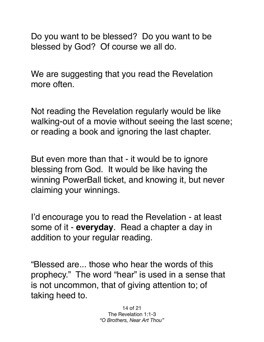Do you want to be blessed? Do you want to be blessed by God? Of course we all do.

We are suggesting that you read the Revelation more often.

Not reading the Revelation regularly would be like walking-out of a movie without seeing the last scene; or reading a book and ignoring the last chapter.

But even more than that - it would be to ignore blessing from God. It would be like having the winning PowerBall ticket, and knowing it, but never claiming your winnings.

I'd encourage you to read the Revelation - at least some of it - **everyday**. Read a chapter a day in addition to your regular reading.

"Blessed are... those who hear the words of this prophecy." The word "hear" is used in a sense that is not uncommon, that of giving attention to; of taking heed to.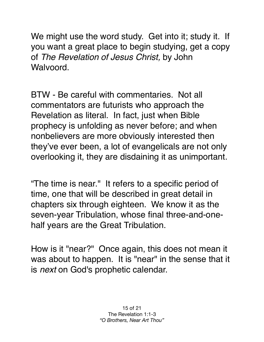We might use the word study. Get into it; study it. If you want a great place to begin studying, get a copy of *The Revelation of Jesus Christ,* by John Walvoord.

BTW - Be careful with commentaries. Not all commentators are futurists who approach the Revelation as literal. In fact, just when Bible prophecy is unfolding as never before; and when nonbelievers are more obviously interested then they've ever been, a lot of evangelicals are not only overlooking it, they are disdaining it as unimportant.

"The time is near." It refers to a specific period of time, one that will be described in great detail in chapters six through eighteen. We know it as the seven-year Tribulation, whose final three-and-onehalf years are the Great Tribulation.

How is it "near?" Once again, this does not mean it was about to happen. It is "near" in the sense that it is *next* on God's prophetic calendar.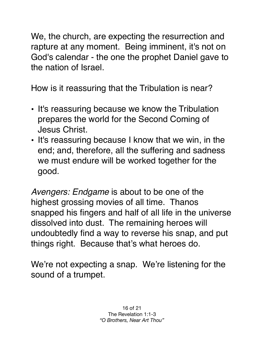We, the church, are expecting the resurrection and rapture at any moment. Being imminent, it's not on God's calendar - the one the prophet Daniel gave to the nation of Israel.

How is it reassuring that the Tribulation is near?

- It's reassuring because we know the Tribulation prepares the world for the Second Coming of Jesus Christ.
- It's reassuring because I know that we win, in the end; and, therefore, all the suffering and sadness we must endure will be worked together for the good.

*Avengers: Endgame* is about to be one of the highest grossing movies of all time. Thanos snapped his fingers and half of all life in the universe dissolved into dust. The remaining heroes will undoubtedly find a way to reverse his snap, and put things right. Because that's what heroes do.

We're not expecting a snap. We're listening for the sound of a trumpet.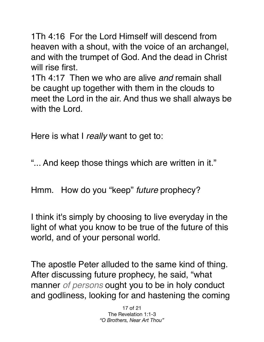1Th 4:16 For the Lord Himself will descend from heaven with a shout, with the voice of an archangel, and with the trumpet of God. And the dead in Christ will rise first.

1Th 4:17 Then we who are alive *and* remain shall be caught up together with them in the clouds to meet the Lord in the air. And thus we shall always be with the Lord.

Here is what I *really* want to get to:

"... And keep those things which are written in it."

Hmm. How do you "keep" *future* prophecy?

I think it's simply by choosing to live everyday in the light of what you know to be true of the future of this world, and of your personal world.

The apostle Peter alluded to the same kind of thing. After discussing future prophecy, he said, "what manner *of persons* ought you to be in holy conduct and godliness, looking for and hastening the coming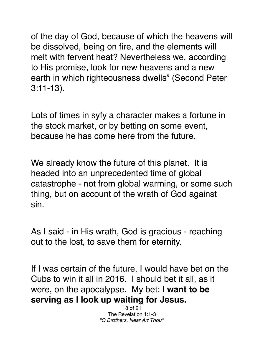of the day of God, because of which the heavens will be dissolved, being on fire, and the elements will melt with fervent heat? Nevertheless we, according to His promise, look for new heavens and a new earth in which righteousness dwells" (Second Peter 3:11-13).

Lots of times in syfy a character makes a fortune in the stock market, or by betting on some event, because he has come here from the future.

We already know the future of this planet. It is headed into an unprecedented time of global catastrophe - not from global warming, or some such thing, but on account of the wrath of God against sin.

As I said - in His wrath, God is gracious - reaching out to the lost, to save them for eternity.

If I was certain of the future, I would have bet on the Cubs to win it all in 2016. I should bet it all, as it were, on the apocalypse. My bet: **I want to be serving as I look up waiting for Jesus.**

> 18 of 21 The Revelation 1:1-3 *"O Brothers, Near Art Thou"*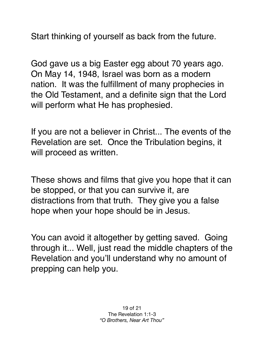Start thinking of yourself as back from the future.

God gave us a big Easter egg about 70 years ago. On May 14, 1948, Israel was born as a modern nation. It was the fulfillment of many prophecies in the Old Testament, and a definite sign that the Lord will perform what He has prophesied.

If you are not a believer in Christ... The events of the Revelation are set. Once the Tribulation begins, it will proceed as written.

These shows and films that give you hope that it can be stopped, or that you can survive it, are distractions from that truth. They give you a false hope when your hope should be in Jesus.

You can avoid it altogether by getting saved. Going through it... Well, just read the middle chapters of the Revelation and you'll understand why no amount of prepping can help you.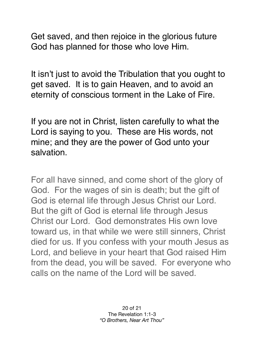Get saved, and then rejoice in the glorious future God has planned for those who love Him.

It isn't just to avoid the Tribulation that you ought to get saved. It is to gain Heaven, and to avoid an eternity of conscious torment in the Lake of Fire.

If you are not in Christ, listen carefully to what the Lord is saying to you. These are His words, not mine; and they are the power of God unto your salvation.

For all have sinned, and come short of the glory of God. For the wages of sin is death; but the gift of God is eternal life through Jesus Christ our Lord. But the gift of God is eternal life through Jesus Christ our Lord. God demonstrates His own love toward us, in that while we were still sinners, Christ died for us. If you confess with your mouth Jesus as Lord, and believe in your heart that God raised Him from the dead, you will be saved. For everyone who calls on the name of the Lord will be saved.